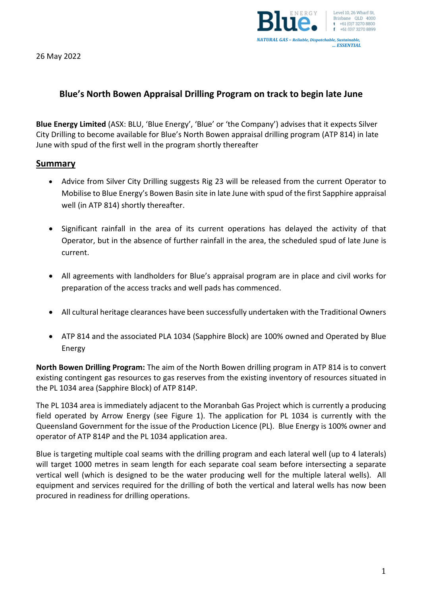26 May 2022



## **Blue's North Bowen Appraisal Drilling Program on track to begin late June**

**Blue Energy Limited** (ASX: BLU, 'Blue Energy', 'Blue' or 'the Company') advises that it expects Silver City Drilling to become available for Blue's North Bowen appraisal drilling program (ATP 814) in late June with spud of the first well in the program shortly thereafter

## **Summary**

- Advice from Silver City Drilling suggests Rig 23 will be released from the current Operator to Mobilise to Blue Energy's Bowen Basin site in late June with spud of the first Sapphire appraisal well (in ATP 814) shortly thereafter.
- Significant rainfall in the area of its current operations has delayed the activity of that Operator, but in the absence of further rainfall in the area, the scheduled spud of late June is current.
- All agreements with landholders for Blue's appraisal program are in place and civil works for preparation of the access tracks and well pads has commenced.
- All cultural heritage clearances have been successfully undertaken with the Traditional Owners
- ATP 814 and the associated PLA 1034 (Sapphire Block) are 100% owned and Operated by Blue Energy

**North Bowen Drilling Program:** The aim of the North Bowen drilling program in ATP 814 is to convert existing contingent gas resources to gas reserves from the existing inventory of resources situated in the PL 1034 area (Sapphire Block) of ATP 814P.

The PL 1034 area is immediately adjacent to the Moranbah Gas Project which is currently a producing field operated by Arrow Energy (see Figure 1). The application for PL 1034 is currently with the Queensland Government for the issue of the Production Licence (PL). Blue Energy is 100% owner and operator of ATP 814P and the PL 1034 application area.

Blue is targeting multiple coal seams with the drilling program and each lateral well (up to 4 laterals) will target 1000 metres in seam length for each separate coal seam before intersecting a separate vertical well (which is designed to be the water producing well for the multiple lateral wells). All equipment and services required for the drilling of both the vertical and lateral wells has now been procured in readiness for drilling operations.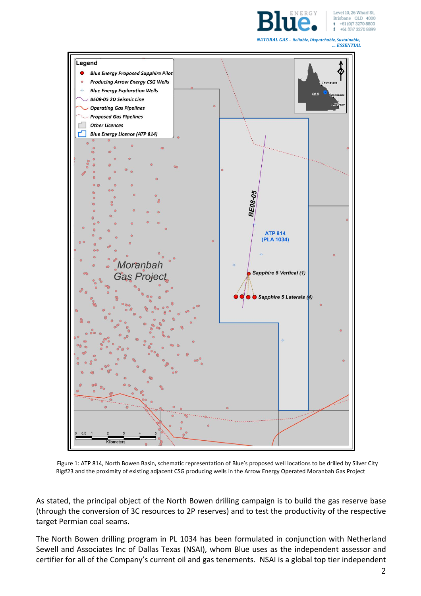

*NATURAL GAS – Reliable, Dispatchable, Sustainable, … ESSENTIAL*



 Figure 1: ATP 814, North Bowen Basin, schematic representation of Blue's proposed well locations to be drilled by Silver City Rig#23 and the proximity of existing adjacent CSG producing wells in the Arrow Energy Operated Moranbah Gas Project

As stated, the principal object of the North Bowen drilling campaign is to build the gas reserve base (through the conversion of 3C resources to 2P reserves) and to test the productivity of the respective target Permian coal seams.

The North Bowen drilling program in PL 1034 has been formulated in conjunction with Netherland Sewell and Associates Inc of Dallas Texas (NSAI), whom Blue uses as the independent assessor and certifier for all of the Company's current oil and gas tenements. NSAI is a global top tier independent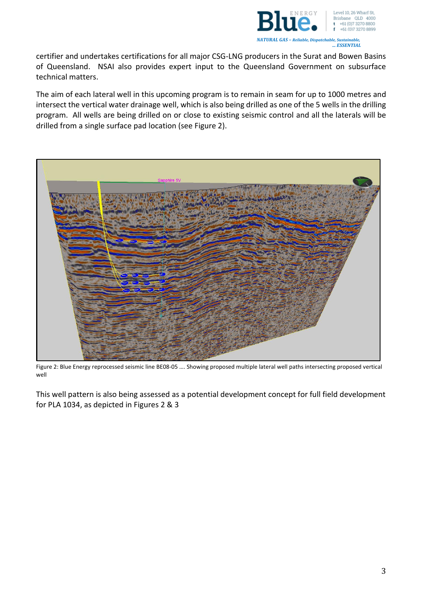

certifier and undertakes certifications for all major CSG-LNG producers in the Surat and Bowen Basins of Queensland. NSAI also provides expert input to the Queensland Government on subsurface technical matters.

The aim of each lateral well in this upcoming program is to remain in seam for up to 1000 metres and intersect the vertical water drainage well, which is also being drilled as one of the 5 wells in the drilling program. All wells are being drilled on or close to existing seismic control and all the laterals will be drilled from a single surface pad location (see Figure 2).



Figure 2: Blue Energy reprocessed seismic line BE08-05 …. Showing proposed multiple lateral well paths intersecting proposed vertical well

This well pattern is also being assessed as a potential development concept for full field development for PLA 1034, as depicted in Figures 2 & 3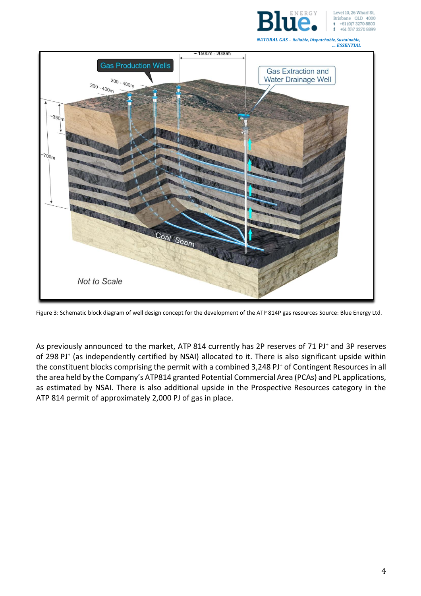

Level 10, 26 Wharf St, Brisbane QLD 4000 +61 (0)7 3270 8800 +61 (0) 7 3270 8899

*NATURAL GAS – Reliable, Dispatchable, Sustainable,* 



Figure 3: Schematic block diagram of well design concept for the development of the ATP 814P gas resources Source: Blue Energy Ltd.

As previously announced to the market, ATP 814 currently has 2P reserves of 71 PJ<sup>+</sup> and 3P reserves of 298 PJ<sup>+</sup> (as independently certified by NSAI) allocated to it. There is also significant upside within the constituent blocks comprising the permit with a combined 3,248 PJ<sup>+</sup> of Contingent Resources in all the area held by the Company's ATP814 granted Potential Commercial Area (PCAs) and PL applications, as estimated by NSAI. There is also additional upside in the Prospective Resources category in the ATP 814 permit of approximately 2,000 PJ of gas in place.